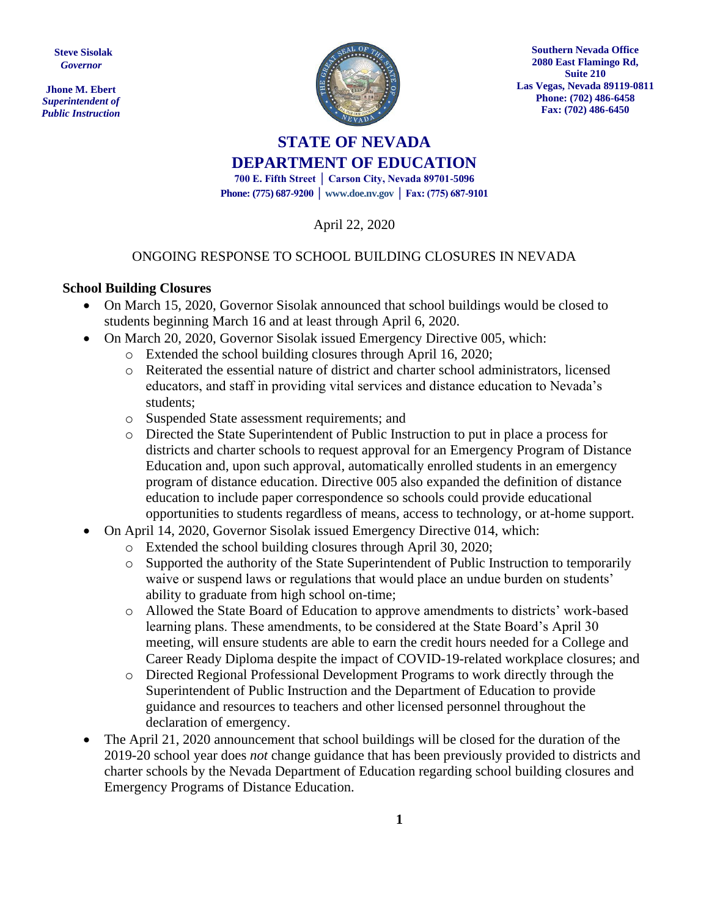**Steve Sisolak** *Governor*

**Jhone M. Ebert** *Superintendent of Public Instruction*



**Southern Nevada Office 2080 East Flamingo Rd, Suite 210 Las Vegas, Nevada 89119-0811 Phone: (702) 486-6458 Fax: (702) 486-6450**

# **STATE OF NEVADA DEPARTMENT OF EDUCATION 700 E. Fifth Street │ Carson City, Nevada 89701-5096**

**Phone: (775) 687-9200 │ www.doe.nv.gov │ Fax: (775) 687-9101**

April 22, 2020

#### ONGOING RESPONSE TO SCHOOL BUILDING CLOSURES IN NEVADA

#### **School Building Closures**

- On March 15, 2020, Governor Sisolak announced that school buildings would be closed to students beginning March 16 and at least through April 6, 2020.
- On March 20, 2020, Governor Sisolak issued Emergency Directive 005, which:
	- o Extended the school building closures through April 16, 2020;
	- o Reiterated the essential nature of district and charter school administrators, licensed educators, and staff in providing vital services and distance education to Nevada's students;
	- o Suspended State assessment requirements; and
	- o Directed the State Superintendent of Public Instruction to put in place a process for districts and charter schools to request approval for an Emergency Program of Distance Education and, upon such approval, automatically enrolled students in an emergency program of distance education. Directive 005 also expanded the definition of distance education to include paper correspondence so schools could provide educational opportunities to students regardless of means, access to technology, or at-home support.
- On April 14, 2020, Governor Sisolak issued Emergency Directive 014, which:
	- o Extended the school building closures through April 30, 2020;
	- o Supported the authority of the State Superintendent of Public Instruction to temporarily waive or suspend laws or regulations that would place an undue burden on students' ability to graduate from high school on-time;
	- o Allowed the State Board of Education to approve amendments to districts' work-based learning plans. These amendments, to be considered at the State Board's April 30 meeting, will ensure students are able to earn the credit hours needed for a College and Career Ready Diploma despite the impact of COVID-19-related workplace closures; and
	- o Directed Regional Professional Development Programs to work directly through the Superintendent of Public Instruction and the Department of Education to provide guidance and resources to teachers and other licensed personnel throughout the declaration of emergency.
- The April 21, 2020 announcement that school buildings will be closed for the duration of the 2019-20 school year does *not* change guidance that has been previously provided to districts and charter schools by the Nevada Department of Education regarding school building closures and Emergency Programs of Distance Education.